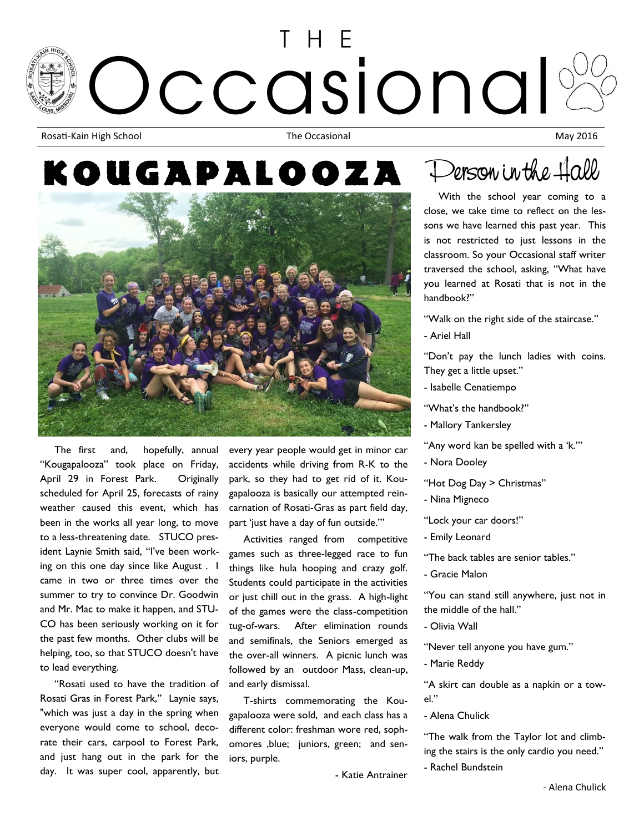## HF ccasional Rosati-Kain High School **May 2016** The Occasional May 2016

## KOUGAPALOOZ)



 The first and, hopefully, annual "Kougapalooza" took place on Friday, April 29 in Forest Park. Originally scheduled for April 25, forecasts of rainy weather caused this event, which has been in the works all year long, to move to a less-threatening date. STUCO president Laynie Smith said, "I've been working on this one day since like August . I came in two or three times over the summer to try to convince Dr. Goodwin and Mr. Mac to make it happen, and STU-CO has been seriously working on it for the past few months. Other clubs will be helping, too, so that STUCO doesn't have to lead everything.

 "Rosati used to have the tradition of Rosati Gras in Forest Park," Laynie says, "which was just a day in the spring when everyone would come to school, decorate their cars, carpool to Forest Park, and just hang out in the park for the day. It was super cool, apparently, but

every year people would get in minor car accidents while driving from R-K to the park, so they had to get rid of it. Kougapalooza is basically our attempted reincarnation of Rosati-Gras as part field day, part 'just have a day of fun outside.'"

 Activities ranged from competitive games such as three-legged race to fun things like hula hooping and crazy golf. Students could participate in the activities or just chill out in the grass. A high-light of the games were the class-competition tug-of-wars. After elimination rounds and semifinals, the Seniors emerged as the over-all winners. A picnic lunch was followed by an outdoor Mass, clean-up, and early dismissal.

 T-shirts commemorating the Kougapalooza were sold, and each class has a different color: freshman wore red, sophomores ,blue; juniors, green; and seniors, purple.

- Katie Antrainer

## Derson in the Hall

 With the school year coming to a close, we take time to reflect on the lessons we have learned this past year. This is not restricted to just lessons in the classroom. So your Occasional staff writer traversed the school, asking, "What have you learned at Rosati that is not in the handbook?"

"Walk on the right side of the staircase."

- Ariel Hall

"Don't pay the lunch ladies with coins. They get a little upset."

- Isabelle Cenatiempo
- "What's the handbook?"
- Mallory Tankersley
- "Any word kan be spelled with a 'k.'"
- Nora Dooley
- "Hot Dog Day > Christmas"
- Nina Migneco

"Lock your car doors!"

- Emily Leonard

"The back tables are senior tables."

- Gracie Malon

"You can stand still anywhere, just not in the middle of the hall."

- Olivia Wall

"Never tell anyone you have gum."

- Marie Reddy

"A skirt can double as a napkin or a towel."

- Alena Chulick

"The walk from the Taylor lot and climbing the stairs is the only cardio you need."

- Rachel Bundstein